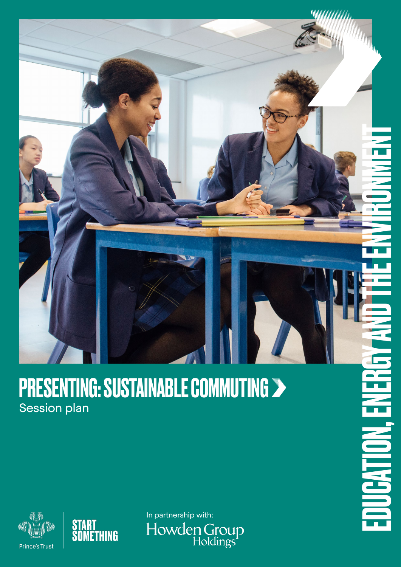# **MANAHAMANAHAMA**

## **PRESENTING: SUSTAINABLE COMMUTING >** Session plan





In partnership with:Howden Group<br>Holdings

EDUCATION, ENERGY AND THE ENVIRONMENT T **JUGATION.**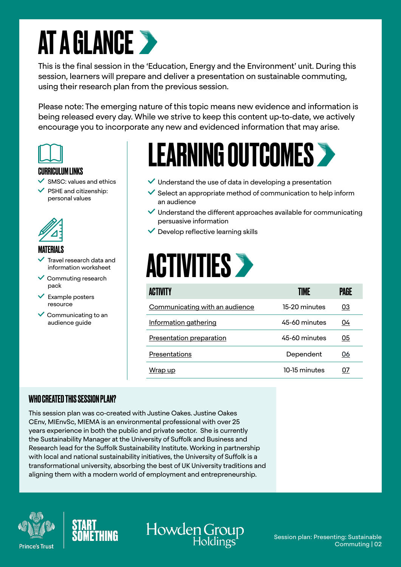## **AT A GLANCE >**

This is the final session in the 'Education, Energy and the Environment' unit. During this session, learners will prepare and deliver a presentation on sustainable commuting, using their research plan from the previous session.

Please note: The emerging nature of this topic means new evidence and information is being released every day. While we strive to keep this content up-to-date, we actively encourage you to incorporate any new and evidenced information that may arise.



### CURRICULUM LINKS

- SMSC: values and ethics
- PSHE and citizenship: personal values



## MATERIALS

- Travel research data and information worksheet
- $\checkmark$  Commuting research pack
- $\vee$  Example posters resource
- $\vee$  Communicating to an audience guide

## LEARNING OUTCOMES >

- $\vee$  Understand the use of data in developing a presentation
- $\checkmark$  Select an appropriate method of communication to help inform an audience
- $\vee$  Understand the different approaches available for communicating persuasive information
- $\checkmark$  Develop reflective learning skills

## **ACTIVITIES >**

Howden Group

| <b>ACTIVITY</b>                | TIME          | PAGE |
|--------------------------------|---------------|------|
| Communicating with an audience | 15-20 minutes | 03   |
| Information gathering          | 45-60 minutes | 04   |
| Presentation preparation       | 45-60 minutes | 05   |
| Presentations                  | Dependent     | 06   |
| <u>Wrap up</u>                 | 10-15 minutes | 07   |

## WHO CREATED THIS SESSION PLAN?

This session plan was co-created with Justine Oakes. Justine Oakes CEnv, MIEnvSc, MIEMA is an environmental professional with over 25 years experience in both the public and private sector. She is currently the Sustainability Manager at the University of Suffolk and Business and Research lead for the Suffolk Sustainability Institute. Working in partnership with local and national sustainability initiatives, the University of Suffolk is a transformational university, absorbing the best of UK University traditions and aligning them with a modern world of employment and entrepreneurship.





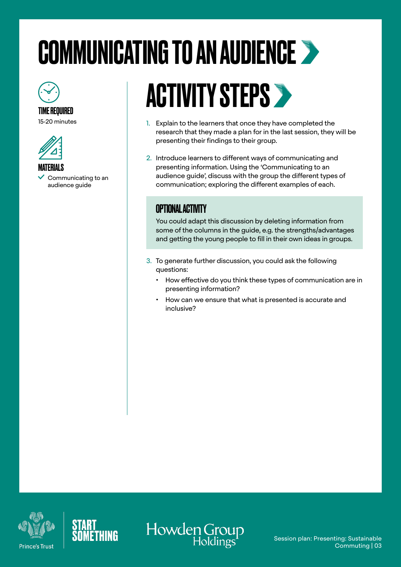# <span id="page-2-0"></span>COMMUNICATING TO AN AUDIENCE



## TIME REQUIRED

15-20 minutes



MATERIALS Communicating to an audience guide

# **ACTIVITY STEPS >**

- 1. Explain to the learners that once they have completed the research that they made a plan for in the last session, they will be presenting their findings to their group.
- 2. Introduce learners to different ways of communicating and presenting information. Using the 'Communicating to an audience guide', discuss with the group the different types of communication; exploring the different examples of each.

## OPTIONAL ACTIVITY

You could adapt this discussion by deleting information from some of the columns in the guide, e.g. the strengths/advantages and getting the young people to fill in their own ideas in groups.

- 3. To generate further discussion, you could ask the following questions:
	- How effective do you think these types of communication are in presenting information?
	- How can we ensure that what is presented is accurate and inclusive?





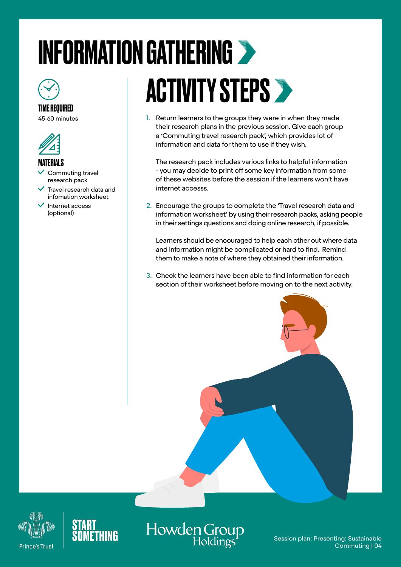# <span id="page-3-0"></span>INFORMATION GATHERING



## TIME REQUIRED

45-60 minutes



#### MATERIALS

- Commuting travel research pack
- Travel research data and infomation worksheet
- Internet access (optional)

# ACTIVITY STEPS >

1. Return learners to the groups they were in when they made their research plans in the previous session. Give each group a 'Commuting travel research pack', which provides lot of information and data for them to use if they wish.

The research pack includes various links to helpful information - you may decide to print off some key information from some of these websites before the session if the learners won't have internet accesss.

2. Encourage the groups to complete the 'Travel research data and information worksheet' by using their research packs, asking people in their settings questions and doing online research, if possible.

Learners should be encouraged to help each other out where data and information might be complicated or hard to find. Remind them to make a note of where they obtained their information.

3. Check the learners have been able to find information for each section of their worksheet before moving on to the next activity.





Howden Group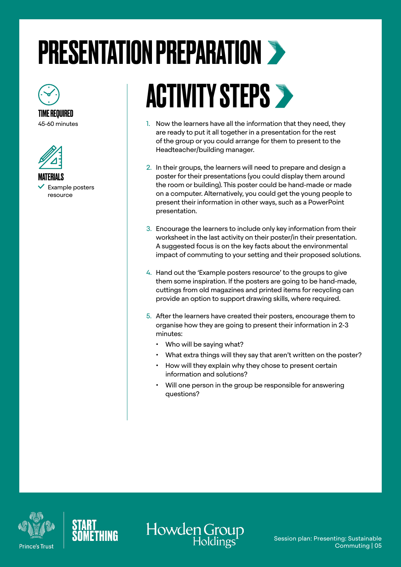# <span id="page-4-0"></span>PRESENTATION PREPARATION



TIME REQUIRED 45-60 minutes



MATERIALS

 Example posters resource

# **ACTIVITY STEPS >**

- 1. Now the learners have all the information that they need, they are ready to put it all together in a presentation for the rest of the group or you could arrange for them to present to the Headteacher/building manager.
- 2. In their groups, the learners will need to prepare and design a poster for their presentations (you could display them around the room or building). This poster could be hand-made or made on a computer. Alternatively, you could get the young people to present their information in other ways, such as a PowerPoint presentation.
- 3. Encourage the learners to include only key information from their worksheet in the last activity on their poster/in their presentation. A suggested focus is on the key facts about the environmental impact of commuting to your setting and their proposed solutions.
- 4. Hand out the 'Example posters resource' to the groups to give them some inspiration. If the posters are going to be hand-made, cuttings from old magazines and printed items for recycling can provide an option to support drawing skills, where required.
- 5. After the learners have created their posters, encourage them to organise how they are going to present their information in 2-3 minutes:
	- Who will be saying what?
	- What extra things will they say that aren't written on the poster?
	- How will they explain why they chose to present certain information and solutions?
	- Will one person in the group be responsible for answering questions?





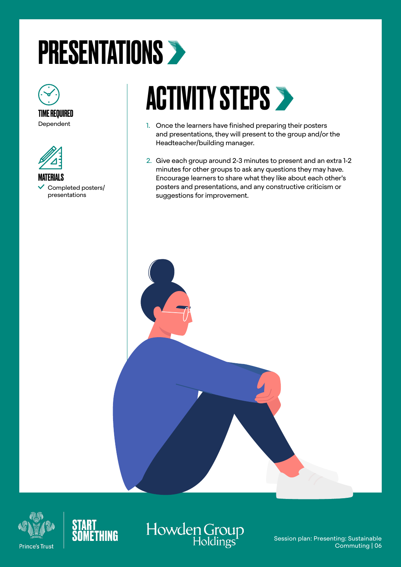# <span id="page-5-0"></span>PRESENTATIONS >



Dependent



MATERIALS Completed posters/ presentations

# **ACTIVITY STEPS >**

- 1. Once the learners have finished preparing their posters and presentations, they will present to the group and/or the Headteacher/building manager.
- 2. Give each group around 2-3 minutes to present and an extra 1-2 minutes for other groups to ask any questions they may have. Encourage learners to share what they like about each other's posters and presentations, and any constructive criticism or suggestions for improvement.